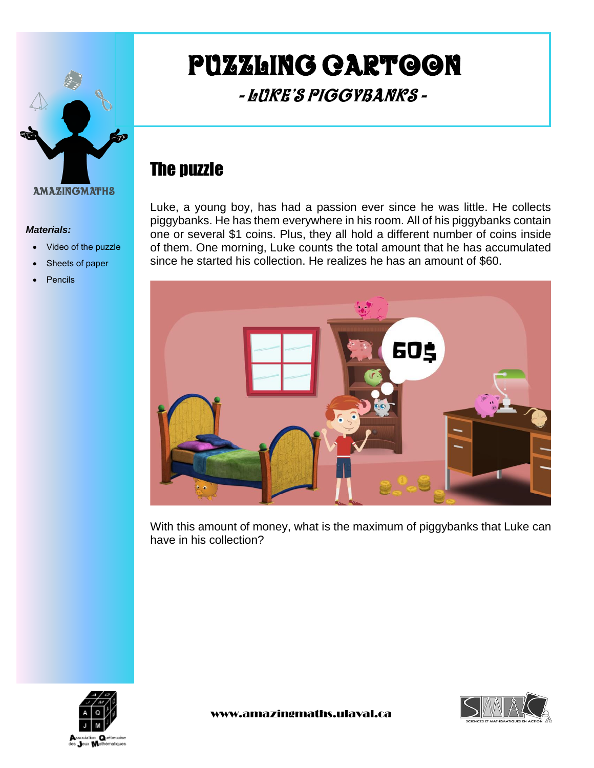

#### *Materials:*

- Video of the puzzle
- Sheets of paper
- **Pencils**

# Puzzling cartoon

## - Luke's Piggybanks -

### The puzzle

Luke, a young boy, has had a passion ever since he was little. He collects piggybanks. He has them everywhere in his room. All of his piggybanks contain one or several \$1 coins. Plus, they all hold a different number of coins inside of them. One morning, Luke counts the total amount that he has accumulated since he started his collection. He realizes he has an amount of \$60.



With this amount of money, what is the maximum of piggybanks that Luke can have in his collection?